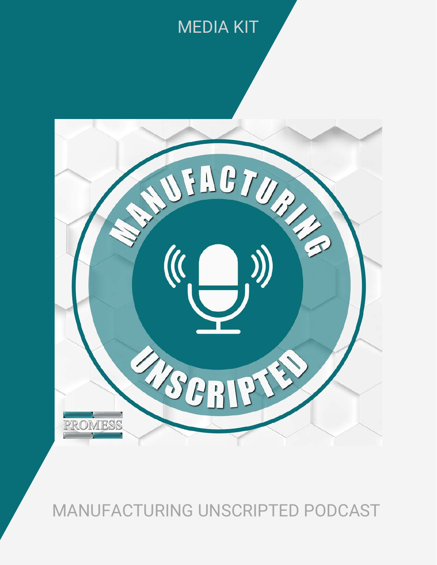# MEDIA KIT



### MANUFACTURING UNSCRIPTED PODCAST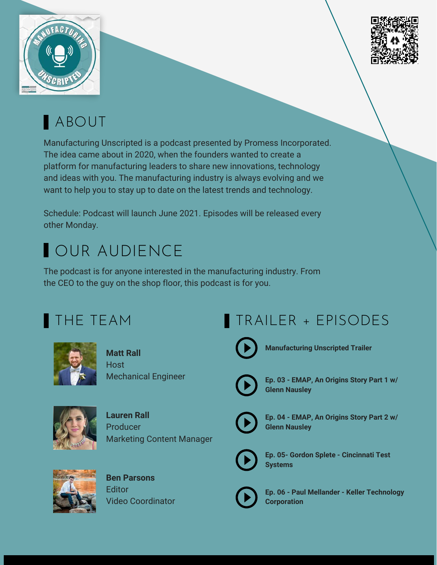



## ABOUT

Manufacturing Unscripted is a podcast presented by Promess Incorporated. The idea came about in 2020, when the founders wanted to create a platform for manufacturing leaders to share new innovations, technology and ideas with you. The manufacturing industry is always evolving and we want to help you to stay up to date on the latest trends and technology.

Schedule: Podcast will launch June 2021. Episodes will be released every other Monday.

# OUR AUDIENCE

The podcast is for anyone interested in the manufacturing industry. From the CEO to the guy on the shop floor, this podcast is for you.

### THE TEAM



**Matt Rall** Host Mechanical Engineer



**Lauren Rall** Producer Marketing Content Manager



**Ben Parsons Editor** Video Coordinator

## TRAILER + EPISODES



**Manufacturing Unscripted Trailer**



**Ep. 03 - EMAP, An Origins Story Part 1 w/ Glenn Nausley**



**Ep. 04 - EMAP, An Origins Story Part 2 w/ Glenn Nausley**



**Ep. 05- Gordon Splete - Cincinnati Test Systems**



**Ep. 06 - Paul Mellander - Keller Technology Corporation**